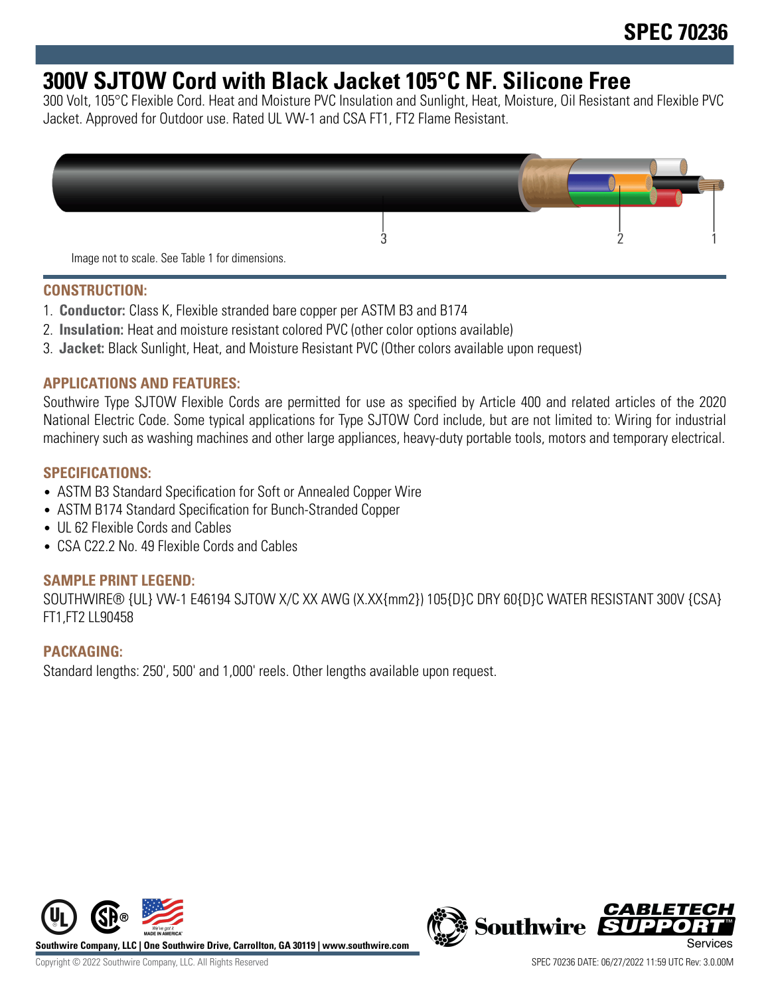# **300V SJTOW Cord with Black Jacket 105°C NF. Silicone Free**

300 Volt, 105°C Flexible Cord. Heat and Moisture PVC Insulation and Sunlight, Heat, Moisture, Oil Resistant and Flexible PVC Jacket. Approved for Outdoor use. Rated UL VW-1 and CSA FT1, FT2 Flame Resistant.



## **CONSTRUCTION:**

- 1. **Conductor:** Class K, Flexible stranded bare copper per ASTM B3 and B174
- 2. **Insulation:** Heat and moisture resistant colored PVC (other color options available)
- 3. **Jacket:** Black Sunlight, Heat, and Moisture Resistant PVC (Other colors available upon request)

## **APPLICATIONS AND FEATURES:**

Southwire Type SJTOW Flexible Cords are permitted for use as specified by Article 400 and related articles of the 2020 National Electric Code. Some typical applications for Type SJTOW Cord include, but are not limited to: Wiring for industrial machinery such as washing machines and other large appliances, heavy-duty portable tools, motors and temporary electrical.

## **SPECIFICATIONS:**

- ASTM B3 Standard Specification for Soft or Annealed Copper Wire
- ASTM B174 Standard Specification for Bunch-Stranded Copper
- UL 62 Flexible Cords and Cables
- CSA C22.2 No. 49 Flexible Cords and Cables

## **SAMPLE PRINT LEGEND:**

SOUTHWIRE® {UL} VW-1 E46194 SJTOW X/C XX AWG (X.XX{mm2}) 105{D}C DRY 60{D}C WATER RESISTANT 300V {CSA} FT1,FT2 LL90458

#### **PACKAGING:**

Standard lengths: 250', 500' and 1,000' reels. Other lengths available upon request.



**Southwire Company, LLC | One Southwire Drive, Carrollton, GA 30119 | www.southwire.com**

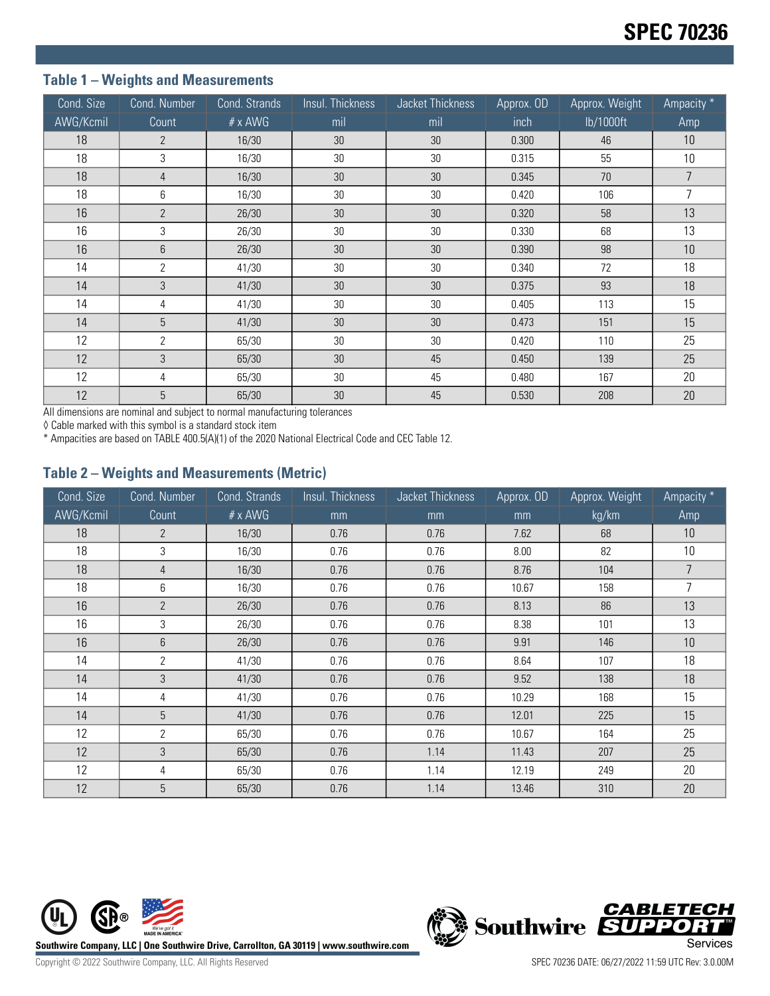# **Table 1 – Weights and Measurements**

| Cond. Size | Cond. Number   | Cond. Strands  | Insul. Thickness | Jacket Thickness | Approx. OD | Approx. Weight | Ampacity * |
|------------|----------------|----------------|------------------|------------------|------------|----------------|------------|
| AWG/Kcmil  | Count          | $# \times$ AWG | mil              | mil              | inch       | lb/1000ft      | Amp        |
| 18         | $\overline{2}$ | 16/30          | 30               | 30               | 0.300      | 46             | 10         |
| 18         | 3              | 16/30          | 30               | 30               | 0.315      | 55             | 10         |
| 18         | $\overline{4}$ | 16/30          | 30               | 30               | 0.345      | 70             | 7          |
| 18         | 6              | 16/30          | 30               | 30               | 0.420      | 106            | 7          |
| 16         | $\overline{2}$ | 26/30          | 30               | 30               | 0.320      | 58             | 13         |
| 16         | 3              | 26/30          | 30               | 30               | 0.330      | 68             | 13         |
| 16         | 6              | 26/30          | 30               | 30               | 0.390      | 98             | 10         |
| 14         | 2              | 41/30          | 30               | 30               | 0.340      | 72             | 18         |
| 14         | 3              | 41/30          | 30               | 30               | 0.375      | 93             | 18         |
| 14         | 4              | 41/30          | 30               | 30               | 0.405      | 113            | 15         |
| 14         | 5              | 41/30          | 30               | 30               | 0.473      | 151            | 15         |
| 12         | $\overline{2}$ | 65/30          | 30               | 30               | 0.420      | 110            | 25         |
| 12         | 3              | 65/30          | 30               | 45               | 0.450      | 139            | 25         |
| 12         | 4              | 65/30          | 30               | 45               | 0.480      | 167            | 20         |
| 12         | 5              | 65/30          | 30               | 45               | 0.530      | 208            | 20         |

All dimensions are nominal and subject to normal manufacturing tolerances

◊ Cable marked with this symbol is a standard stock item

\* Ampacities are based on TABLE 400.5(A)(1) of the 2020 National Electrical Code and CEC Table 12.

#### **Table 2 – Weights and Measurements (Metric)**

| Cond. Size | Cond. Number    | Cond. Strands  | Insul. Thickness | Jacket Thickness | Approx. OD | Approx. Weight | Ampacity *     |
|------------|-----------------|----------------|------------------|------------------|------------|----------------|----------------|
| AWG/Kcmil  | Count           | $# \times$ AWG | mm               | mm               | mm         | kg/km          | Amp            |
| 18         | $\overline{2}$  | 16/30          | 0.76             | 0.76             | 7.62       | 68             | 10             |
| 18         | 3               | 16/30          | 0.76             | 0.76             | 8.00       | 82             | 10             |
| 18         | 4               | 16/30          | 0.76             | 0.76             | 8.76       | 104            | $\overline{7}$ |
| 18         | 6               | 16/30          | 0.76             | 0.76             | 10.67      | 158            | 7              |
| 16         | $\overline{2}$  | 26/30          | 0.76             | 0.76             | 8.13       | 86             | 13             |
| 16         | 3               | 26/30          | 0.76             | 0.76             | 8.38       | 101            | 13             |
| 16         | 6               | 26/30          | 0.76             | 0.76             | 9.91       | 146            | 10             |
| 14         | 2               | 41/30          | 0.76             | 0.76             | 8.64       | 107            | 18             |
| 14         | 3               | 41/30          | 0.76             | 0.76             | 9.52       | 138            | 18             |
| 14         | 4               | 41/30          | 0.76             | 0.76             | 10.29      | 168            | 15             |
| 14         | 5               | 41/30          | 0.76             | 0.76             | 12.01      | 225            | 15             |
| 12         | $\overline{2}$  | 65/30          | 0.76             | 0.76             | 10.67      | 164            | 25             |
| 12         | 3               | 65/30          | 0.76             | 1.14             | 11.43      | 207            | 25             |
| 12         | 4               | 65/30          | 0.76             | 1.14             | 12.19      | 249            | 20             |
| 12         | $5\phantom{.0}$ | 65/30          | 0.76             | 1.14             | 13.46      | 310            | 20             |